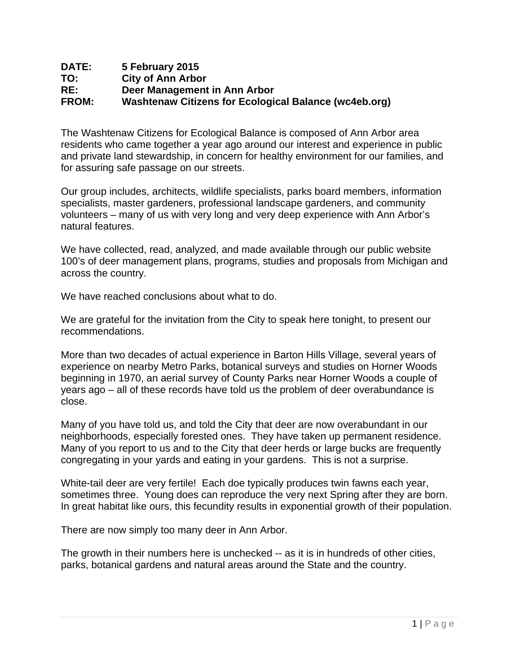### **DATE: 5 February 2015 TO: City of Ann Arbor RE: Deer Management in Ann Arbor FROM: Washtenaw Citizens for Ecological Balance (wc4eb.org)**

The Washtenaw Citizens for Ecological Balance is composed of Ann Arbor area residents who came together a year ago around our interest and experience in public and private land stewardship, in concern for healthy environment for our families, and for assuring safe passage on our streets.

Our group includes, architects, wildlife specialists, parks board members, information specialists, master gardeners, professional landscape gardeners, and community volunteers – many of us with very long and very deep experience with Ann Arbor's natural features.

We have collected, read, analyzed, and made available through our public website 100's of deer management plans, programs, studies and proposals from Michigan and across the country.

We have reached conclusions about what to do.

We are grateful for the invitation from the City to speak here tonight, to present our recommendations.

More than two decades of actual experience in Barton Hills Village, several years of experience on nearby Metro Parks, botanical surveys and studies on Horner Woods beginning in 1970, an aerial survey of County Parks near Horner Woods a couple of years ago – all of these records have told us the problem of deer overabundance is close.

Many of you have told us, and told the City that deer are now overabundant in our neighborhoods, especially forested ones. They have taken up permanent residence. Many of you report to us and to the City that deer herds or large bucks are frequently congregating in your yards and eating in your gardens. This is not a surprise.

White-tail deer are very fertile! Each doe typically produces twin fawns each year, sometimes three. Young does can reproduce the very next Spring after they are born. In great habitat like ours, this fecundity results in exponential growth of their population.

There are now simply too many deer in Ann Arbor.

The growth in their numbers here is unchecked -- as it is in hundreds of other cities, parks, botanical gardens and natural areas around the State and the country.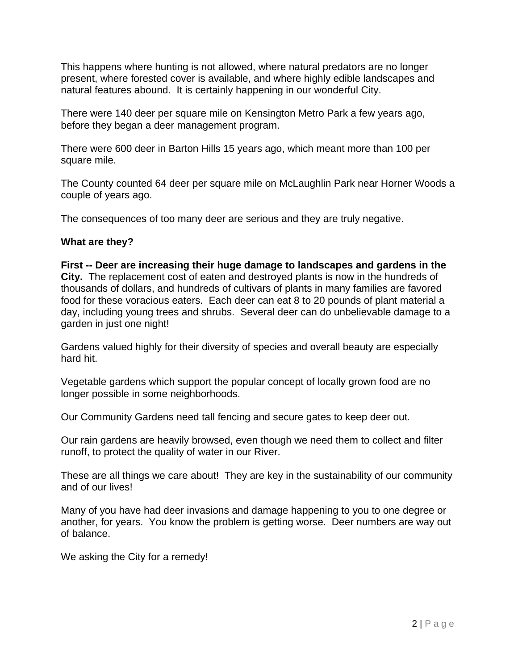This happens where hunting is not allowed, where natural predators are no longer present, where forested cover is available, and where highly edible landscapes and natural features abound. It is certainly happening in our wonderful City.

There were 140 deer per square mile on Kensington Metro Park a few years ago, before they began a deer management program.

There were 600 deer in Barton Hills 15 years ago, which meant more than 100 per square mile.

The County counted 64 deer per square mile on McLaughlin Park near Horner Woods a couple of years ago.

The consequences of too many deer are serious and they are truly negative.

# **What are they?**

**First -- Deer are increasing their huge damage to landscapes and gardens in the City.** The replacement cost of eaten and destroyed plants is now in the hundreds of thousands of dollars, and hundreds of cultivars of plants in many families are favored food for these voracious eaters. Each deer can eat 8 to 20 pounds of plant material a day, including young trees and shrubs. Several deer can do unbelievable damage to a garden in just one night!

Gardens valued highly for their diversity of species and overall beauty are especially hard hit.

Vegetable gardens which support the popular concept of locally grown food are no longer possible in some neighborhoods.

Our Community Gardens need tall fencing and secure gates to keep deer out.

Our rain gardens are heavily browsed, even though we need them to collect and filter runoff, to protect the quality of water in our River.

These are all things we care about! They are key in the sustainability of our community and of our lives!

Many of you have had deer invasions and damage happening to you to one degree or another, for years. You know the problem is getting worse. Deer numbers are way out of balance.

We asking the City for a remedy!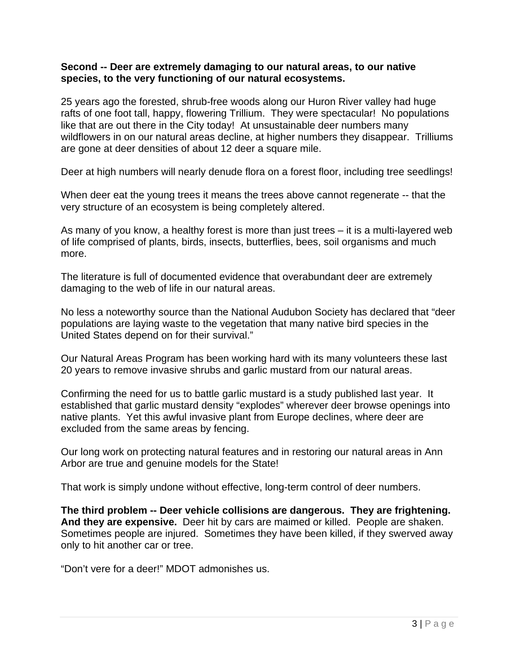#### **Second -- Deer are extremely damaging to our natural areas, to our native species, to the very functioning of our natural ecosystems.**

25 years ago the forested, shrub-free woods along our Huron River valley had huge rafts of one foot tall, happy, flowering Trillium. They were spectacular! No populations like that are out there in the City today! At unsustainable deer numbers many wildflowers in on our natural areas decline, at higher numbers they disappear. Trilliums are gone at deer densities of about 12 deer a square mile.

Deer at high numbers will nearly denude flora on a forest floor, including tree seedlings!

When deer eat the young trees it means the trees above cannot regenerate -- that the very structure of an ecosystem is being completely altered.

As many of you know, a healthy forest is more than just trees – it is a multi-layered web of life comprised of plants, birds, insects, butterflies, bees, soil organisms and much more.

The literature is full of documented evidence that overabundant deer are extremely damaging to the web of life in our natural areas.

No less a noteworthy source than the National Audubon Society has declared that "deer populations are laying waste to the vegetation that many native bird species in the United States depend on for their survival."

Our Natural Areas Program has been working hard with its many volunteers these last 20 years to remove invasive shrubs and garlic mustard from our natural areas.

Confirming the need for us to battle garlic mustard is a study published last year. It established that garlic mustard density "explodes" wherever deer browse openings into native plants. Yet this awful invasive plant from Europe declines, where deer are excluded from the same areas by fencing.

Our long work on protecting natural features and in restoring our natural areas in Ann Arbor are true and genuine models for the State!

That work is simply undone without effective, long-term control of deer numbers.

**The third problem -- Deer vehicle collisions are dangerous. They are frightening. And they are expensive.** Deer hit by cars are maimed or killed. People are shaken. Sometimes people are injured. Sometimes they have been killed, if they swerved away only to hit another car or tree.

"Don't vere for a deer!" MDOT admonishes us.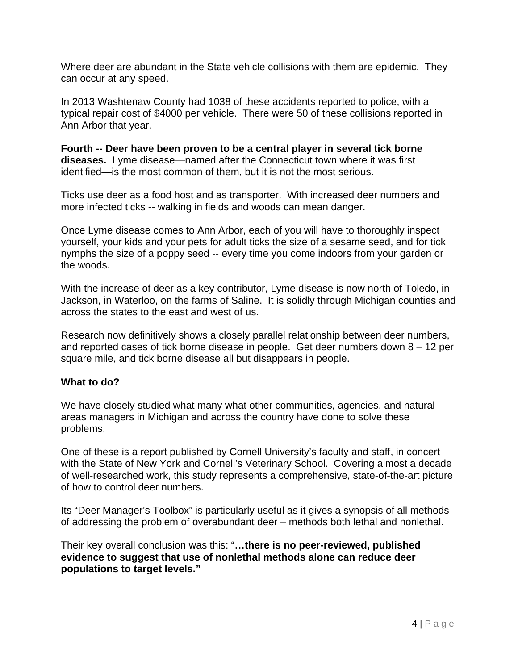Where deer are abundant in the State vehicle collisions with them are epidemic. They can occur at any speed.

In 2013 Washtenaw County had 1038 of these accidents reported to police, with a typical repair cost of \$4000 per vehicle. There were 50 of these collisions reported in Ann Arbor that year.

**Fourth -- Deer have been proven to be a central player in several tick borne diseases.** Lyme disease—named after the Connecticut town where it was first identified—is the most common of them, but it is not the most serious.

Ticks use deer as a food host and as transporter. With increased deer numbers and more infected ticks -- walking in fields and woods can mean danger.

Once Lyme disease comes to Ann Arbor, each of you will have to thoroughly inspect yourself, your kids and your pets for adult ticks the size of a sesame seed, and for tick nymphs the size of a poppy seed -- every time you come indoors from your garden or the woods.

With the increase of deer as a key contributor, Lyme disease is now north of Toledo, in Jackson, in Waterloo, on the farms of Saline. It is solidly through Michigan counties and across the states to the east and west of us.

Research now definitively shows a closely parallel relationship between deer numbers, and reported cases of tick borne disease in people. Get deer numbers down 8 – 12 per square mile, and tick borne disease all but disappears in people.

### **What to do?**

We have closely studied what many what other communities, agencies, and natural areas managers in Michigan and across the country have done to solve these problems.

One of these is a report published by Cornell University's faculty and staff, in concert with the State of New York and Cornell's Veterinary School. Covering almost a decade of well-researched work, this study represents a comprehensive, state-of-the-art picture of how to control deer numbers.

Its "Deer Manager's Toolbox" is particularly useful as it gives a synopsis of all methods of addressing the problem of overabundant deer – methods both lethal and nonlethal.

Their key overall conclusion was this: "**…there is no peer-reviewed, published evidence to suggest that use of nonlethal methods alone can reduce deer populations to target levels."**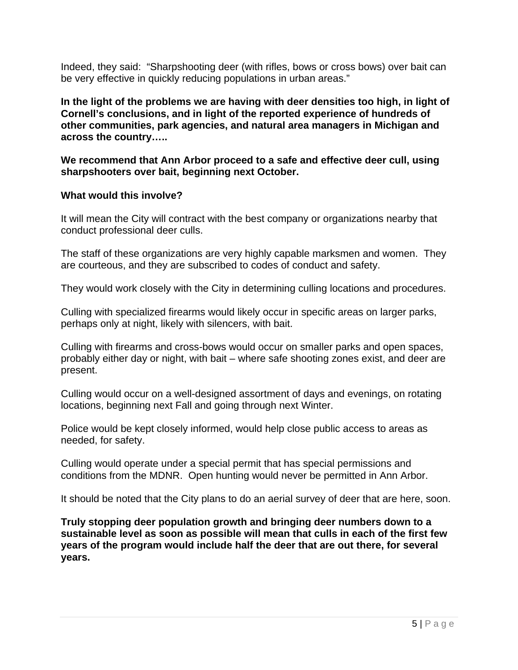Indeed, they said: "Sharpshooting deer (with rifles, bows or cross bows) over bait can be very effective in quickly reducing populations in urban areas."

**In the light of the problems we are having with deer densities too high, in light of Cornell's conclusions, and in light of the reported experience of hundreds of other communities, park agencies, and natural area managers in Michigan and across the country…..** 

**We recommend that Ann Arbor proceed to a safe and effective deer cull, using sharpshooters over bait, beginning next October.** 

# **What would this involve?**

It will mean the City will contract with the best company or organizations nearby that conduct professional deer culls.

The staff of these organizations are very highly capable marksmen and women. They are courteous, and they are subscribed to codes of conduct and safety.

They would work closely with the City in determining culling locations and procedures.

Culling with specialized firearms would likely occur in specific areas on larger parks, perhaps only at night, likely with silencers, with bait.

Culling with firearms and cross-bows would occur on smaller parks and open spaces, probably either day or night, with bait – where safe shooting zones exist, and deer are present.

Culling would occur on a well-designed assortment of days and evenings, on rotating locations, beginning next Fall and going through next Winter.

Police would be kept closely informed, would help close public access to areas as needed, for safety.

Culling would operate under a special permit that has special permissions and conditions from the MDNR. Open hunting would never be permitted in Ann Arbor.

It should be noted that the City plans to do an aerial survey of deer that are here, soon.

**Truly stopping deer population growth and bringing deer numbers down to a sustainable level as soon as possible will mean that culls in each of the first few years of the program would include half the deer that are out there, for several years.**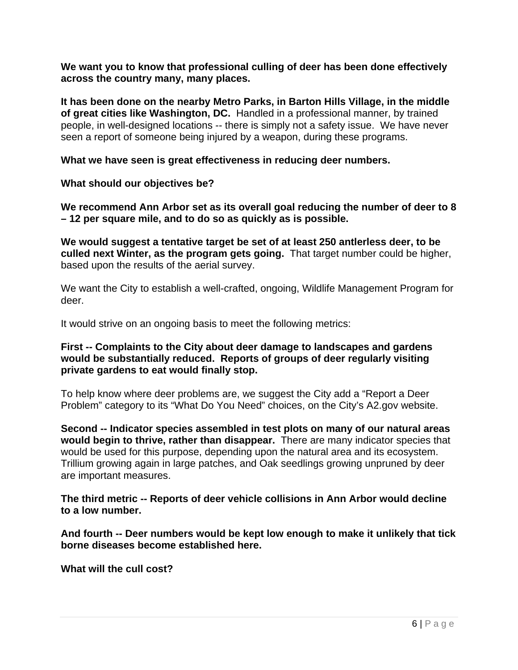**We want you to know that professional culling of deer has been done effectively across the country many, many places.** 

**It has been done on the nearby Metro Parks, in Barton Hills Village, in the middle of great cities like Washington, DC.** Handled in a professional manner, by trained people, in well-designed locations -- there is simply not a safety issue. We have never seen a report of someone being injured by a weapon, during these programs.

**What we have seen is great effectiveness in reducing deer numbers.** 

**What should our objectives be?** 

**We recommend Ann Arbor set as its overall goal reducing the number of deer to 8 – 12 per square mile, and to do so as quickly as is possible.** 

**We would suggest a tentative target be set of at least 250 antlerless deer, to be culled next Winter, as the program gets going.** That target number could be higher, based upon the results of the aerial survey.

We want the City to establish a well-crafted, ongoing, Wildlife Management Program for deer.

It would strive on an ongoing basis to meet the following metrics:

### **First -- Complaints to the City about deer damage to landscapes and gardens would be substantially reduced. Reports of groups of deer regularly visiting private gardens to eat would finally stop.**

To help know where deer problems are, we suggest the City add a "Report a Deer Problem" category to its "What Do You Need" choices, on the City's A2.gov website.

**Second -- Indicator species assembled in test plots on many of our natural areas would begin to thrive, rather than disappear.** There are many indicator species that would be used for this purpose, depending upon the natural area and its ecosystem. Trillium growing again in large patches, and Oak seedlings growing unpruned by deer are important measures.

**The third metric -- Reports of deer vehicle collisions in Ann Arbor would decline to a low number.**

**And fourth -- Deer numbers would be kept low enough to make it unlikely that tick borne diseases become established here.** 

**What will the cull cost?**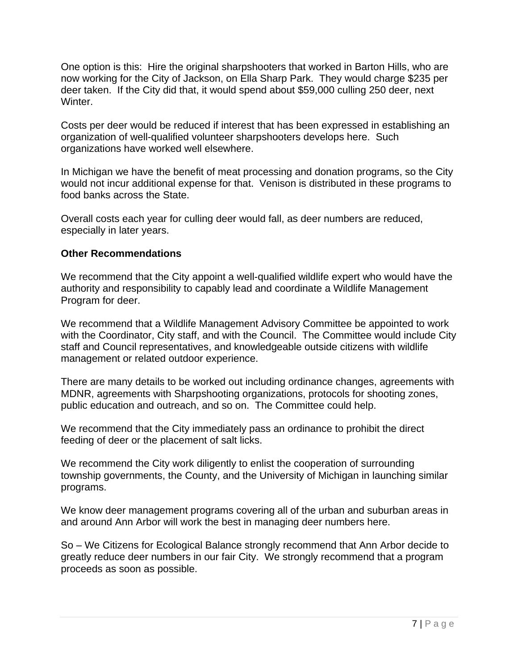One option is this: Hire the original sharpshooters that worked in Barton Hills, who are now working for the City of Jackson, on Ella Sharp Park. They would charge \$235 per deer taken. If the City did that, it would spend about \$59,000 culling 250 deer, next Winter.

Costs per deer would be reduced if interest that has been expressed in establishing an organization of well-qualified volunteer sharpshooters develops here. Such organizations have worked well elsewhere.

In Michigan we have the benefit of meat processing and donation programs, so the City would not incur additional expense for that. Venison is distributed in these programs to food banks across the State.

Overall costs each year for culling deer would fall, as deer numbers are reduced, especially in later years.

### **Other Recommendations**

We recommend that the City appoint a well-qualified wildlife expert who would have the authority and responsibility to capably lead and coordinate a Wildlife Management Program for deer.

We recommend that a Wildlife Management Advisory Committee be appointed to work with the Coordinator, City staff, and with the Council. The Committee would include City staff and Council representatives, and knowledgeable outside citizens with wildlife management or related outdoor experience.

There are many details to be worked out including ordinance changes, agreements with MDNR, agreements with Sharpshooting organizations, protocols for shooting zones, public education and outreach, and so on. The Committee could help.

We recommend that the City immediately pass an ordinance to prohibit the direct feeding of deer or the placement of salt licks.

We recommend the City work diligently to enlist the cooperation of surrounding township governments, the County, and the University of Michigan in launching similar programs.

We know deer management programs covering all of the urban and suburban areas in and around Ann Arbor will work the best in managing deer numbers here.

So – We Citizens for Ecological Balance strongly recommend that Ann Arbor decide to greatly reduce deer numbers in our fair City. We strongly recommend that a program proceeds as soon as possible.